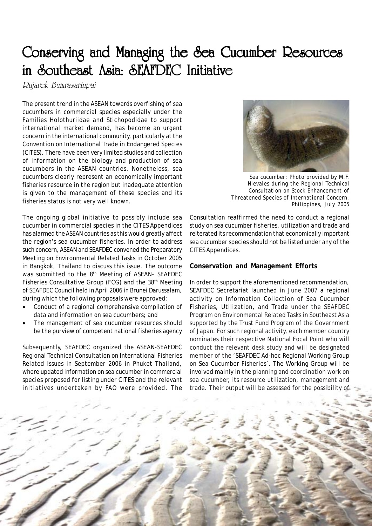## Conserving and Managing the Sea Cucumber Resources in Southeast Asia: SEAFDEC Initiative

Rujarek Bumrasarinpai

The present trend in the ASEAN towards overfishing of sea cucumbers in commercial species especially under the Families Holothuriidae and Stichopodidae to support international market demand, has become an urgent concern in the international community, particularly at the Convention on International Trade in Endangered Species (CITES). There have been very limited studies and collection of information on the biology and production of sea cucumbers in the ASEAN countries. Nonetheless, sea cucumbers clearly represent an economically important fisheries resource in the region but inadequate attention is given to the management of these species and its fisheries status is not very well known.

The ongoing global initiative to possibly include sea cucumber in commercial species in the CITES Appendices has alarmed the ASEAN countries as this would greatly affect the region's sea cucumber fisheries. In order to address such concern, ASEAN and SEAFDEC convened the Preparatory Meeting on Environmental Related Tasks in October 2005 in Bangkok, Thailand to discuss this issue. The outcome was submitted to the 8<sup>th</sup> Meeting of ASEAN- SEAFDEC Fisheries Consultative Group (FCG) and the 38<sup>th</sup> Meeting of SEAFDEC Council held in April 2006 in Brunei Darussalam, during which the following proposals were approved:

- Conduct of a regional comprehensive compilation of data and information on sea cucumbers; and
- The management of sea cucumber resources should be the purview of competent national fisheries agency

Subsequently, SEAFDEC organized the ASEAN-SEAFDEC Regional Technical Consultation on International Fisheries Related Issues in September 2006 in Phuket Thailand, where updated information on sea cucumber in commercial species proposed for listing under CITES and the relevant initiatives undertaken by FAO were provided. The



*Sea cucumber: Photo provided by M.F. Nievales during the Regional Technical Consultation on Stock Enhancement of Threatened Species of International Concern, Philippines, July 2005*

Consultation reaffirmed the need to conduct a regional study on sea cucumber fisheries, utilization and trade and reiterated its recommendation that economically important sea cucumber species should not be listed under any of the CITES Appendices.

## **Conservation and Management Efforts**

In order to support the aforementioned recommendation, SEAFDEC Secretariat launched in June 2007 a regional activity on Information Collection of Sea Cucumber Fisheries, Utilization, and Trade under the SEAFDEC Program on Environmental Related Tasks in Southeast Asia supported by the Trust Fund Program of the Government of Japan. For such regional activity, each member country nominates their respective National Focal Point who will conduct the relevant desk study and will be designated member of the 'SEAFDEC Ad-hoc Regional Working Group on Sea Cucumber Fisheries'. The Working Group will be involved mainly in the planning and coordination work on sea cucumber, its resource utilization, management and trade. Their output will be assessed for the possibility of